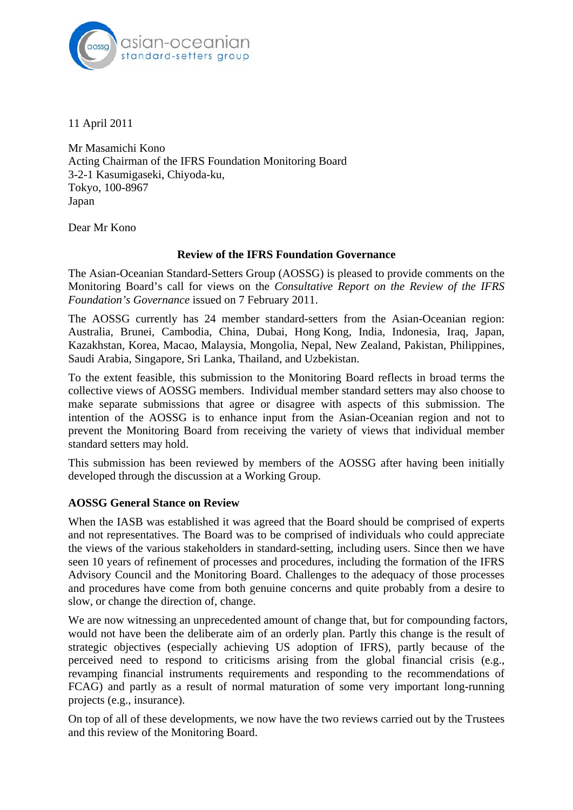

11 April 2011

Mr Masamichi Kono Acting Chairman of the IFRS Foundation Monitoring Board 3-2-1 Kasumigaseki, Chiyoda-ku, Tokyo, 100-8967 Japan

Dear Mr Kono

### **Review of the IFRS Foundation Governance**

The Asian-Oceanian Standard-Setters Group (AOSSG) is pleased to provide comments on the Monitoring Board's call for views on the *Consultative Report on the Review of the IFRS Foundation's Governance* issued on 7 February 2011.

The AOSSG currently has 24 member standard-setters from the Asian-Oceanian region: Australia, Brunei, Cambodia, China, Dubai, Hong Kong, India, Indonesia, Iraq, Japan, Kazakhstan, Korea, Macao, Malaysia, Mongolia, Nepal, New Zealand, Pakistan, Philippines, Saudi Arabia, Singapore, Sri Lanka, Thailand, and Uzbekistan.

To the extent feasible, this submission to the Monitoring Board reflects in broad terms the collective views of AOSSG members. Individual member standard setters may also choose to make separate submissions that agree or disagree with aspects of this submission. The intention of the AOSSG is to enhance input from the Asian-Oceanian region and not to prevent the Monitoring Board from receiving the variety of views that individual member standard setters may hold.

This submission has been reviewed by members of the AOSSG after having been initially developed through the discussion at a Working Group.

# **AOSSG General Stance on Review**

When the IASB was established it was agreed that the Board should be comprised of experts and not representatives. The Board was to be comprised of individuals who could appreciate the views of the various stakeholders in standard-setting, including users. Since then we have seen 10 years of refinement of processes and procedures, including the formation of the IFRS Advisory Council and the Monitoring Board. Challenges to the adequacy of those processes and procedures have come from both genuine concerns and quite probably from a desire to slow, or change the direction of, change.

We are now witnessing an unprecedented amount of change that, but for compounding factors, would not have been the deliberate aim of an orderly plan. Partly this change is the result of strategic objectives (especially achieving US adoption of IFRS), partly because of the perceived need to respond to criticisms arising from the global financial crisis (e.g., revamping financial instruments requirements and responding to the recommendations of FCAG) and partly as a result of normal maturation of some very important long-running projects (e.g., insurance).

On top of all of these developments, we now have the two reviews carried out by the Trustees and this review of the Monitoring Board.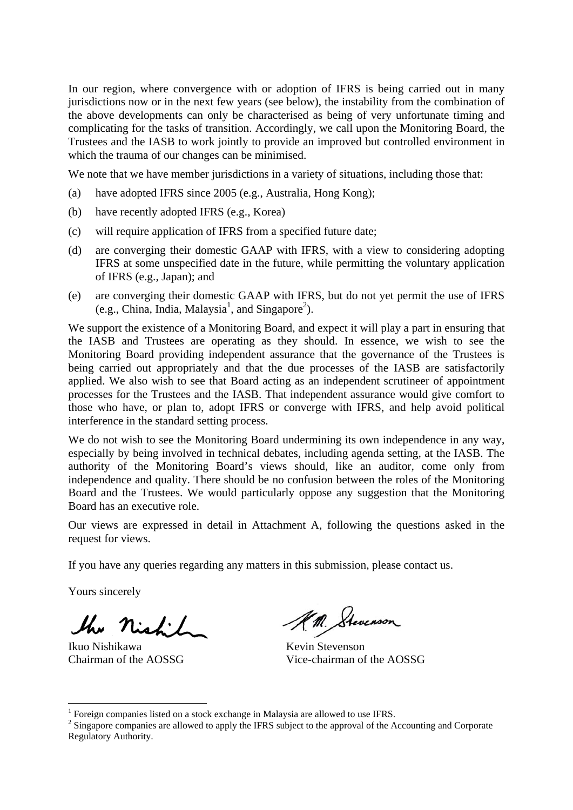In our region, where convergence with or adoption of IFRS is being carried out in many jurisdictions now or in the next few years (see below), the instability from the combination of the above developments can only be characterised as being of very unfortunate timing and complicating for the tasks of transition. Accordingly, we call upon the Monitoring Board, the Trustees and the IASB to work jointly to provide an improved but controlled environment in which the trauma of our changes can be minimised.

We note that we have member jurisdictions in a variety of situations, including those that:

- (a) have adopted IFRS since 2005 (e.g., Australia, Hong Kong);
- (b) have recently adopted IFRS (e.g., Korea)
- (c) will require application of IFRS from a specified future date;
- (d) are converging their domestic GAAP with IFRS, with a view to considering adopting IFRS at some unspecified date in the future, while permitting the voluntary application of IFRS (e.g., Japan); and
- (e) are converging their domestic GAAP with IFRS, but do not yet permit the use of IFRS  $(e.g., China, India, Malaysia<sup>1</sup>, and Singapore<sup>2</sup>).$

We support the existence of a Monitoring Board, and expect it will play a part in ensuring that the IASB and Trustees are operating as they should. In essence, we wish to see the Monitoring Board providing independent assurance that the governance of the Trustees is being carried out appropriately and that the due processes of the IASB are satisfactorily applied. We also wish to see that Board acting as an independent scrutineer of appointment processes for the Trustees and the IASB. That independent assurance would give comfort to those who have, or plan to, adopt IFRS or converge with IFRS, and help avoid political interference in the standard setting process.

We do not wish to see the Monitoring Board undermining its own independence in any way, especially by being involved in technical debates, including agenda setting, at the IASB. The authority of the Monitoring Board's views should, like an auditor, come only from independence and quality. There should be no confusion between the roles of the Monitoring Board and the Trustees. We would particularly oppose any suggestion that the Monitoring Board has an executive role.

Our views are expressed in detail in Attachment A, following the questions asked in the request for views.

If you have any queries regarding any matters in this submission, please contact us.

Yours sincerely

1

Ikuo Nishikawa

Chairman of the AOSSG

KM. Stevenson

Kevin Stevenson Vice-chairman of the AOSSG

<sup>&</sup>lt;sup>1</sup> Foreign companies listed on a stock exchange in Malaysia are allowed to use IFRS.

 $2$  Singapore companies are allowed to apply the IFRS subject to the approval of the Accounting and Corporate Regulatory Authority.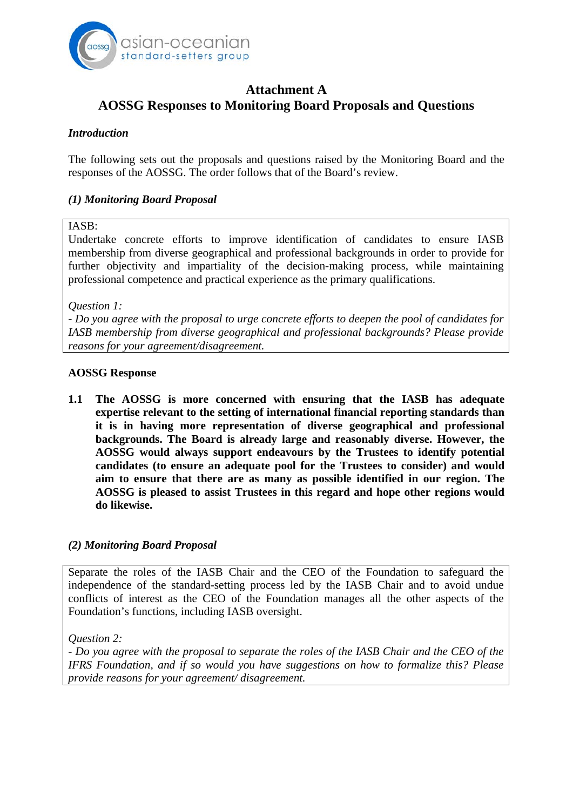

# **Attachment A AOSSG Responses to Monitoring Board Proposals and Questions**

### *Introduction*

The following sets out the proposals and questions raised by the Monitoring Board and the responses of the AOSSG. The order follows that of the Board's review.

### *(1) Monitoring Board Proposal*

#### IASB:

Undertake concrete efforts to improve identification of candidates to ensure IASB membership from diverse geographical and professional backgrounds in order to provide for further objectivity and impartiality of the decision-making process, while maintaining professional competence and practical experience as the primary qualifications.

*Question 1:* 

- *Do you agree with the proposal to urge concrete efforts to deepen the pool of candidates for IASB membership from diverse geographical and professional backgrounds? Please provide reasons for your agreement/disagreement.* 

#### **AOSSG Response**

**1.1 The AOSSG is more concerned with ensuring that the IASB has adequate expertise relevant to the setting of international financial reporting standards than it is in having more representation of diverse geographical and professional backgrounds. The Board is already large and reasonably diverse. However, the AOSSG would always support endeavours by the Trustees to identify potential candidates (to ensure an adequate pool for the Trustees to consider) and would aim to ensure that there are as many as possible identified in our region. The AOSSG is pleased to assist Trustees in this regard and hope other regions would do likewise.** 

#### *(2) Monitoring Board Proposal*

Separate the roles of the IASB Chair and the CEO of the Foundation to safeguard the independence of the standard-setting process led by the IASB Chair and to avoid undue conflicts of interest as the CEO of the Foundation manages all the other aspects of the Foundation's functions, including IASB oversight.

*Question 2:* 

- *Do you agree with the proposal to separate the roles of the IASB Chair and the CEO of the IFRS Foundation, and if so would you have suggestions on how to formalize this? Please provide reasons for your agreement/ disagreement.*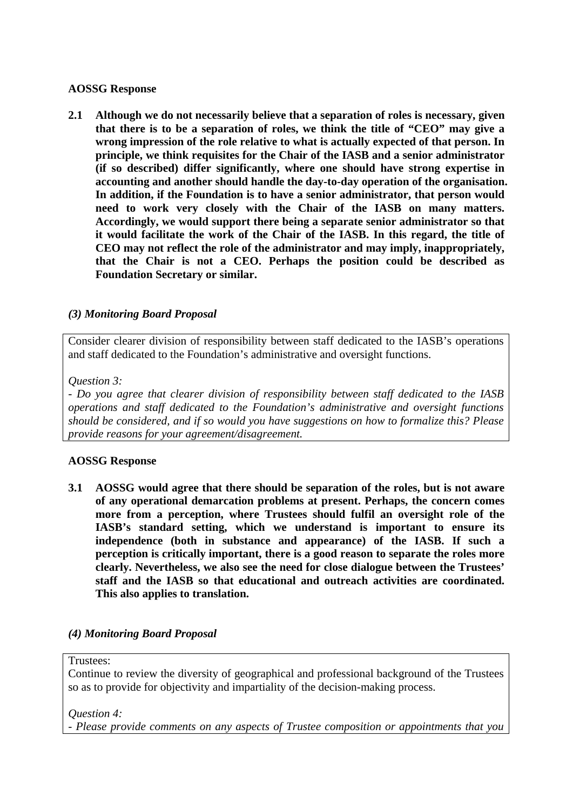### **AOSSG Response**

**2.1 Although we do not necessarily believe that a separation of roles is necessary, given that there is to be a separation of roles, we think the title of "CEO" may give a wrong impression of the role relative to what is actually expected of that person. In principle, we think requisites for the Chair of the IASB and a senior administrator (if so described) differ significantly, where one should have strong expertise in accounting and another should handle the day-to-day operation of the organisation. In addition, if the Foundation is to have a senior administrator, that person would need to work very closely with the Chair of the IASB on many matters. Accordingly, we would support there being a separate senior administrator so that it would facilitate the work of the Chair of the IASB. In this regard, the title of CEO may not reflect the role of the administrator and may imply, inappropriately, that the Chair is not a CEO. Perhaps the position could be described as Foundation Secretary or similar.** 

# *(3) Monitoring Board Proposal*

Consider clearer division of responsibility between staff dedicated to the IASB's operations and staff dedicated to the Foundation's administrative and oversight functions.

### *Question 3:*

- *Do you agree that clearer division of responsibility between staff dedicated to the IASB operations and staff dedicated to the Foundation's administrative and oversight functions should be considered, and if so would you have suggestions on how to formalize this? Please provide reasons for your agreement/disagreement.* 

# **AOSSG Response**

**3.1 AOSSG would agree that there should be separation of the roles, but is not aware of any operational demarcation problems at present. Perhaps, the concern comes more from a perception, where Trustees should fulfil an oversight role of the IASB's standard setting, which we understand is important to ensure its independence (both in substance and appearance) of the IASB. If such a perception is critically important, there is a good reason to separate the roles more clearly. Nevertheless, we also see the need for close dialogue between the Trustees' staff and the IASB so that educational and outreach activities are coordinated. This also applies to translation.** 

# *(4) Monitoring Board Proposal*

Trustees:

Continue to review the diversity of geographical and professional background of the Trustees so as to provide for objectivity and impartiality of the decision-making process.

*Question 4:* 

- *Please provide comments on any aspects of Trustee composition or appointments that you*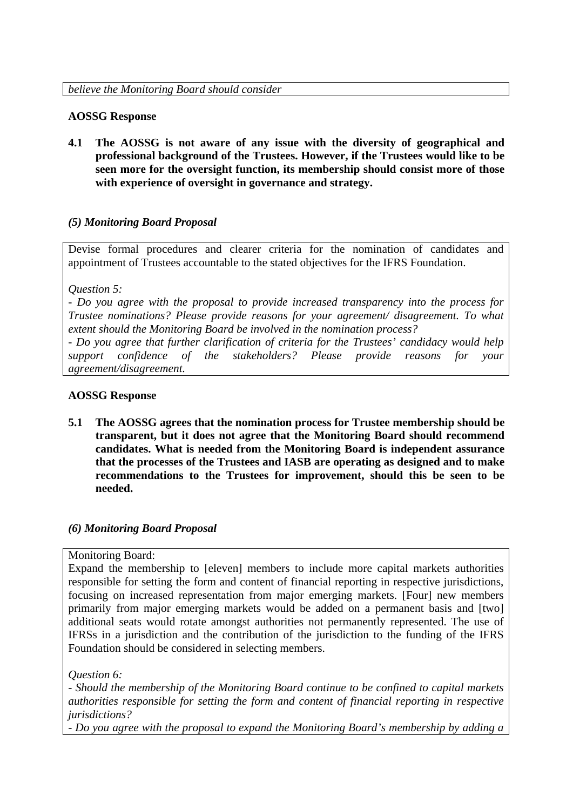### **AOSSG Response**

**4.1 The AOSSG is not aware of any issue with the diversity of geographical and professional background of the Trustees. However, if the Trustees would like to be seen more for the oversight function, its membership should consist more of those with experience of oversight in governance and strategy.** 

# *(5) Monitoring Board Proposal*

Devise formal procedures and clearer criteria for the nomination of candidates and appointment of Trustees accountable to the stated objectives for the IFRS Foundation.

*Question 5:* 

- *Do you agree with the proposal to provide increased transparency into the process for Trustee nominations? Please provide reasons for your agreement/ disagreement. To what extent should the Monitoring Board be involved in the nomination process?* 

- *Do you agree that further clarification of criteria for the Trustees' candidacy would help support confidence of the stakeholders? Please provide reasons for your agreement/disagreement.* 

#### **AOSSG Response**

**5.1 The AOSSG agrees that the nomination process for Trustee membership should be transparent, but it does not agree that the Monitoring Board should recommend candidates. What is needed from the Monitoring Board is independent assurance that the processes of the Trustees and IASB are operating as designed and to make recommendations to the Trustees for improvement, should this be seen to be needed.** 

#### *(6) Monitoring Board Proposal*

#### Monitoring Board:

Expand the membership to [eleven] members to include more capital markets authorities responsible for setting the form and content of financial reporting in respective jurisdictions, focusing on increased representation from major emerging markets. [Four] new members primarily from major emerging markets would be added on a permanent basis and [two] additional seats would rotate amongst authorities not permanently represented. The use of IFRSs in a jurisdiction and the contribution of the jurisdiction to the funding of the IFRS Foundation should be considered in selecting members.

*Question 6:* 

- *Should the membership of the Monitoring Board continue to be confined to capital markets authorities responsible for setting the form and content of financial reporting in respective jurisdictions?* 

- *Do you agree with the proposal to expand the Monitoring Board's membership by adding a*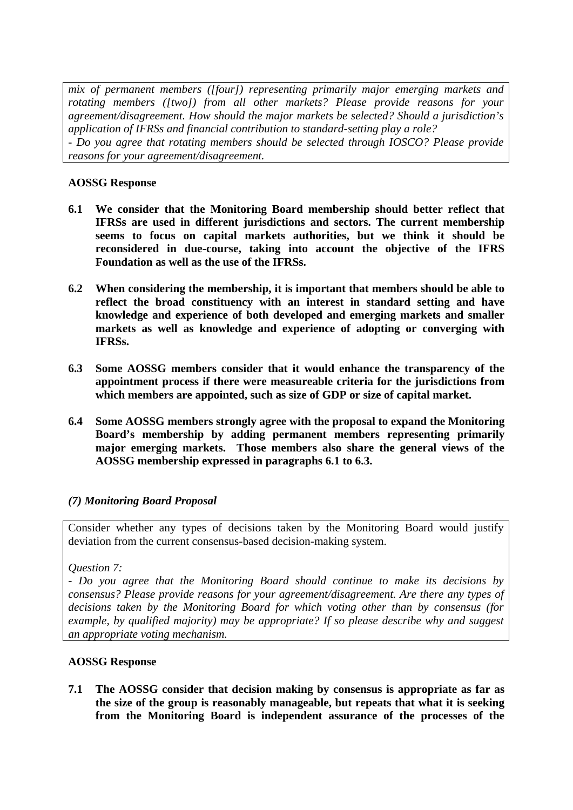*mix of permanent members ([four]) representing primarily major emerging markets and rotating members ([two]) from all other markets? Please provide reasons for your agreement/disagreement. How should the major markets be selected? Should a jurisdiction's application of IFRSs and financial contribution to standard-setting play a role?*  - *Do you agree that rotating members should be selected through IOSCO? Please provide reasons for your agreement/disagreement.* 

# **AOSSG Response**

- **6.1 We consider that the Monitoring Board membership should better reflect that IFRSs are used in different jurisdictions and sectors. The current membership seems to focus on capital markets authorities, but we think it should be reconsidered in due-course, taking into account the objective of the IFRS Foundation as well as the use of the IFRSs.**
- **6.2 When considering the membership, it is important that members should be able to reflect the broad constituency with an interest in standard setting and have knowledge and experience of both developed and emerging markets and smaller markets as well as knowledge and experience of adopting or converging with IFRSs.**
- **6.3 Some AOSSG members consider that it would enhance the transparency of the appointment process if there were measureable criteria for the jurisdictions from which members are appointed, such as size of GDP or size of capital market.**
- **6.4 Some AOSSG members strongly agree with the proposal to expand the Monitoring Board's membership by adding permanent members representing primarily major emerging markets. Those members also share the general views of the AOSSG membership expressed in paragraphs 6.1 to 6.3.**

# *(7) Monitoring Board Proposal*

Consider whether any types of decisions taken by the Monitoring Board would justify deviation from the current consensus-based decision-making system.

*Question 7:* 

- *Do you agree that the Monitoring Board should continue to make its decisions by consensus? Please provide reasons for your agreement/disagreement. Are there any types of decisions taken by the Monitoring Board for which voting other than by consensus (for example, by qualified majority) may be appropriate? If so please describe why and suggest an appropriate voting mechanism.* 

# **AOSSG Response**

**7.1 The AOSSG consider that decision making by consensus is appropriate as far as the size of the group is reasonably manageable, but repeats that what it is seeking from the Monitoring Board is independent assurance of the processes of the**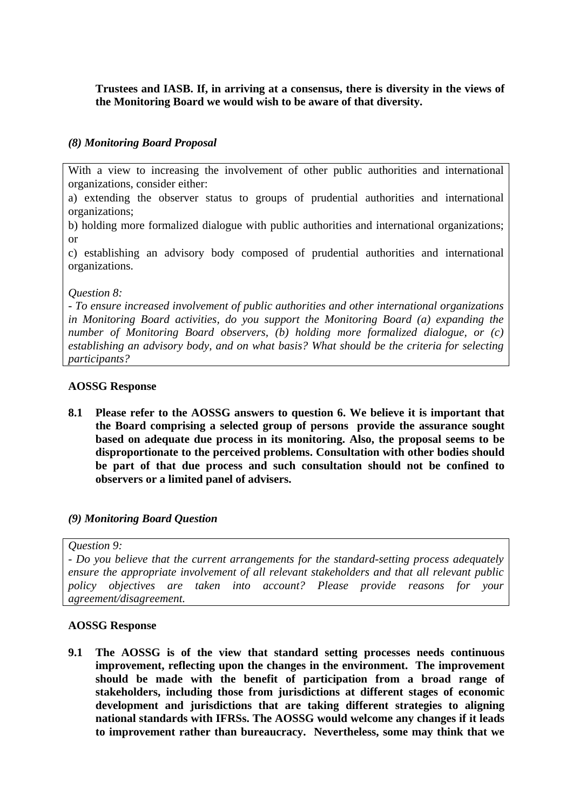# **Trustees and IASB. If, in arriving at a consensus, there is diversity in the views of the Monitoring Board we would wish to be aware of that diversity.**

### *(8) Monitoring Board Proposal*

With a view to increasing the involvement of other public authorities and international organizations, consider either:

a) extending the observer status to groups of prudential authorities and international organizations;

b) holding more formalized dialogue with public authorities and international organizations; or

c) establishing an advisory body composed of prudential authorities and international organizations.

*Question 8:* 

- *To ensure increased involvement of public authorities and other international organizations in Monitoring Board activities, do you support the Monitoring Board (a) expanding the number of Monitoring Board observers, (b) holding more formalized dialogue, or (c) establishing an advisory body, and on what basis? What should be the criteria for selecting participants?* 

#### **AOSSG Response**

**8.1 Please refer to the AOSSG answers to question 6. We believe it is important that the Board comprising a selected group of persons provide the assurance sought based on adequate due process in its monitoring. Also, the proposal seems to be disproportionate to the perceived problems. Consultation with other bodies should be part of that due process and such consultation should not be confined to observers or a limited panel of advisers.** 

#### *(9) Monitoring Board Question*

*Question 9:* 

- *Do you believe that the current arrangements for the standard-setting process adequately ensure the appropriate involvement of all relevant stakeholders and that all relevant public policy objectives are taken into account? Please provide reasons for your agreement/disagreement.* 

#### **AOSSG Response**

**9.1 The AOSSG is of the view that standard setting processes needs continuous improvement, reflecting upon the changes in the environment. The improvement should be made with the benefit of participation from a broad range of stakeholders, including those from jurisdictions at different stages of economic development and jurisdictions that are taking different strategies to aligning national standards with IFRSs. The AOSSG would welcome any changes if it leads to improvement rather than bureaucracy. Nevertheless, some may think that we**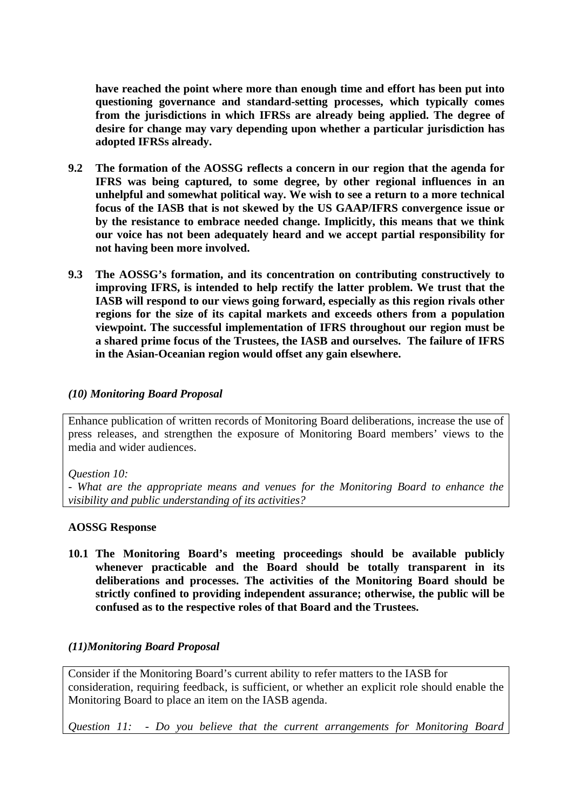**have reached the point where more than enough time and effort has been put into questioning governance and standard-setting processes, which typically comes from the jurisdictions in which IFRSs are already being applied. The degree of desire for change may vary depending upon whether a particular jurisdiction has adopted IFRSs already.** 

- **9.2 The formation of the AOSSG reflects a concern in our region that the agenda for IFRS was being captured, to some degree, by other regional influences in an unhelpful and somewhat political way. We wish to see a return to a more technical focus of the IASB that is not skewed by the US GAAP/IFRS convergence issue or by the resistance to embrace needed change. Implicitly, this means that we think our voice has not been adequately heard and we accept partial responsibility for not having been more involved.**
- **9.3 The AOSSG's formation, and its concentration on contributing constructively to improving IFRS, is intended to help rectify the latter problem. We trust that the IASB will respond to our views going forward, especially as this region rivals other regions for the size of its capital markets and exceeds others from a population viewpoint. The successful implementation of IFRS throughout our region must be a shared prime focus of the Trustees, the IASB and ourselves. The failure of IFRS in the Asian-Oceanian region would offset any gain elsewhere.**

# *(10) Monitoring Board Proposal*

Enhance publication of written records of Monitoring Board deliberations, increase the use of press releases, and strengthen the exposure of Monitoring Board members' views to the media and wider audiences.

#### *Question 10:*

- *What are the appropriate means and venues for the Monitoring Board to enhance the visibility and public understanding of its activities?* 

#### **AOSSG Response**

**10.1 The Monitoring Board's meeting proceedings should be available publicly whenever practicable and the Board should be totally transparent in its deliberations and processes. The activities of the Monitoring Board should be strictly confined to providing independent assurance; otherwise, the public will be confused as to the respective roles of that Board and the Trustees.** 

# *(11)Monitoring Board Proposal*

Consider if the Monitoring Board's current ability to refer matters to the IASB for consideration, requiring feedback, is sufficient, or whether an explicit role should enable the Monitoring Board to place an item on the IASB agenda.

*Question 11:* - *Do you believe that the current arrangements for Monitoring Board*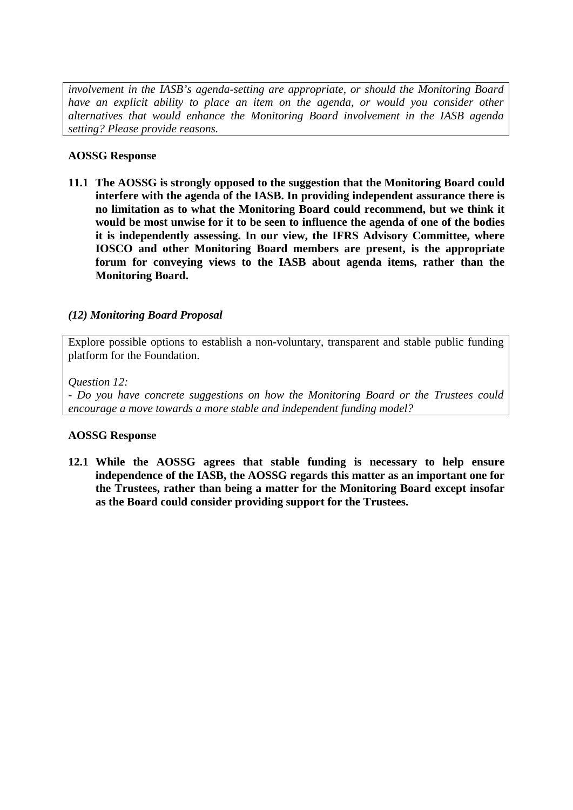*involvement in the IASB's agenda-setting are appropriate, or should the Monitoring Board have an explicit ability to place an item on the agenda, or would you consider other alternatives that would enhance the Monitoring Board involvement in the IASB agenda setting? Please provide reasons.* 

### **AOSSG Response**

**11.1 The AOSSG is strongly opposed to the suggestion that the Monitoring Board could interfere with the agenda of the IASB. In providing independent assurance there is no limitation as to what the Monitoring Board could recommend, but we think it would be most unwise for it to be seen to influence the agenda of one of the bodies it is independently assessing. In our view, the IFRS Advisory Committee, where IOSCO and other Monitoring Board members are present, is the appropriate forum for conveying views to the IASB about agenda items, rather than the Monitoring Board.** 

# *(12) Monitoring Board Proposal*

Explore possible options to establish a non-voluntary, transparent and stable public funding platform for the Foundation.

#### *Question 12:*

- *Do you have concrete suggestions on how the Monitoring Board or the Trustees could encourage a move towards a more stable and independent funding model?* 

#### **AOSSG Response**

**12.1 While the AOSSG agrees that stable funding is necessary to help ensure independence of the IASB, the AOSSG regards this matter as an important one for the Trustees, rather than being a matter for the Monitoring Board except insofar as the Board could consider providing support for the Trustees.**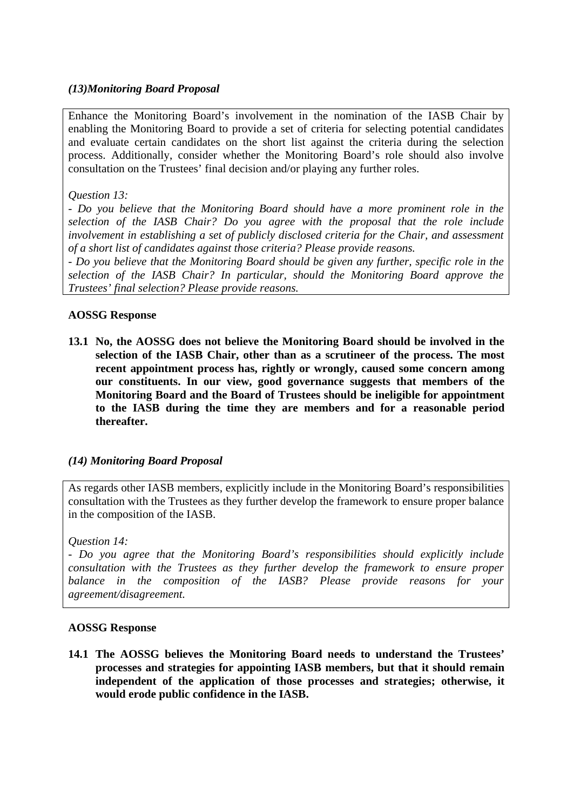# *(13)Monitoring Board Proposal*

Enhance the Monitoring Board's involvement in the nomination of the IASB Chair by enabling the Monitoring Board to provide a set of criteria for selecting potential candidates and evaluate certain candidates on the short list against the criteria during the selection process. Additionally, consider whether the Monitoring Board's role should also involve consultation on the Trustees' final decision and/or playing any further roles.

### *Question 13:*

- *Do you believe that the Monitoring Board should have a more prominent role in the selection of the IASB Chair? Do you agree with the proposal that the role include involvement in establishing a set of publicly disclosed criteria for the Chair, and assessment of a short list of candidates against those criteria? Please provide reasons.* 

- *Do you believe that the Monitoring Board should be given any further, specific role in the selection of the IASB Chair? In particular, should the Monitoring Board approve the Trustees' final selection? Please provide reasons.* 

#### **AOSSG Response**

**13.1 No, the AOSSG does not believe the Monitoring Board should be involved in the selection of the IASB Chair, other than as a scrutineer of the process. The most recent appointment process has, rightly or wrongly, caused some concern among our constituents. In our view, good governance suggests that members of the Monitoring Board and the Board of Trustees should be ineligible for appointment to the IASB during the time they are members and for a reasonable period thereafter.** 

#### *(14) Monitoring Board Proposal*

As regards other IASB members, explicitly include in the Monitoring Board's responsibilities consultation with the Trustees as they further develop the framework to ensure proper balance in the composition of the IASB.

#### *Question 14:*

- *Do you agree that the Monitoring Board's responsibilities should explicitly include consultation with the Trustees as they further develop the framework to ensure proper balance in the composition of the IASB? Please provide reasons for your agreement/disagreement.* 

### **AOSSG Response**

**14.1 The AOSSG believes the Monitoring Board needs to understand the Trustees' processes and strategies for appointing IASB members, but that it should remain independent of the application of those processes and strategies; otherwise, it would erode public confidence in the IASB.**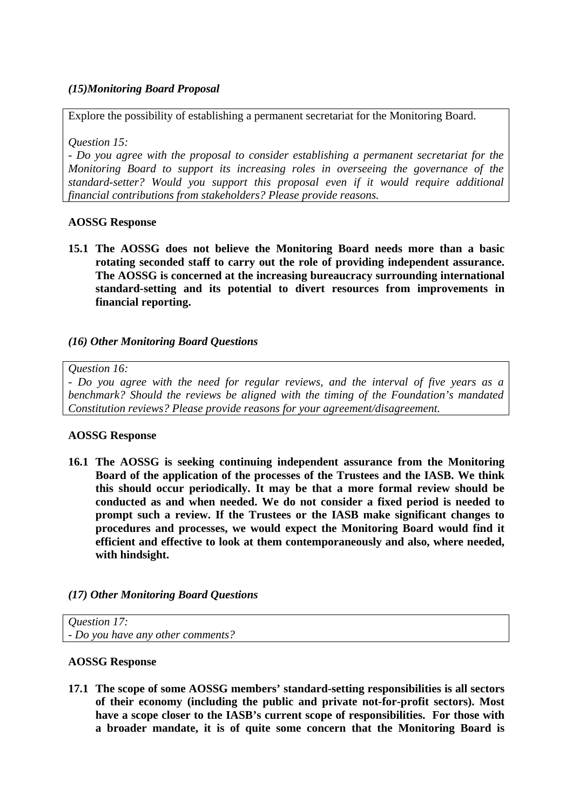# *(15)Monitoring Board Proposal*

Explore the possibility of establishing a permanent secretariat for the Monitoring Board.

*Question 15:* 

- *Do you agree with the proposal to consider establishing a permanent secretariat for the Monitoring Board to support its increasing roles in overseeing the governance of the standard-setter? Would you support this proposal even if it would require additional financial contributions from stakeholders? Please provide reasons.* 

### **AOSSG Response**

**15.1 The AOSSG does not believe the Monitoring Board needs more than a basic rotating seconded staff to carry out the role of providing independent assurance. The AOSSG is concerned at the increasing bureaucracy surrounding international standard-setting and its potential to divert resources from improvements in financial reporting.** 

# *(16) Other Monitoring Board Questions*

#### *Question 16:*

- *Do you agree with the need for regular reviews, and the interval of five years as a benchmark? Should the reviews be aligned with the timing of the Foundation's mandated Constitution reviews? Please provide reasons for your agreement/disagreement.* 

#### **AOSSG Response**

**16.1 The AOSSG is seeking continuing independent assurance from the Monitoring Board of the application of the processes of the Trustees and the IASB. We think this should occur periodically. It may be that a more formal review should be conducted as and when needed. We do not consider a fixed period is needed to prompt such a review. If the Trustees or the IASB make significant changes to procedures and processes, we would expect the Monitoring Board would find it efficient and effective to look at them contemporaneously and also, where needed, with hindsight.** 

# *(17) Other Monitoring Board Questions*

*Question 17:*  - *Do you have any other comments?* 

#### **AOSSG Response**

**17.1 The scope of some AOSSG members' standard-setting responsibilities is all sectors of their economy (including the public and private not-for-profit sectors). Most have a scope closer to the IASB's current scope of responsibilities. For those with a broader mandate, it is of quite some concern that the Monitoring Board is**